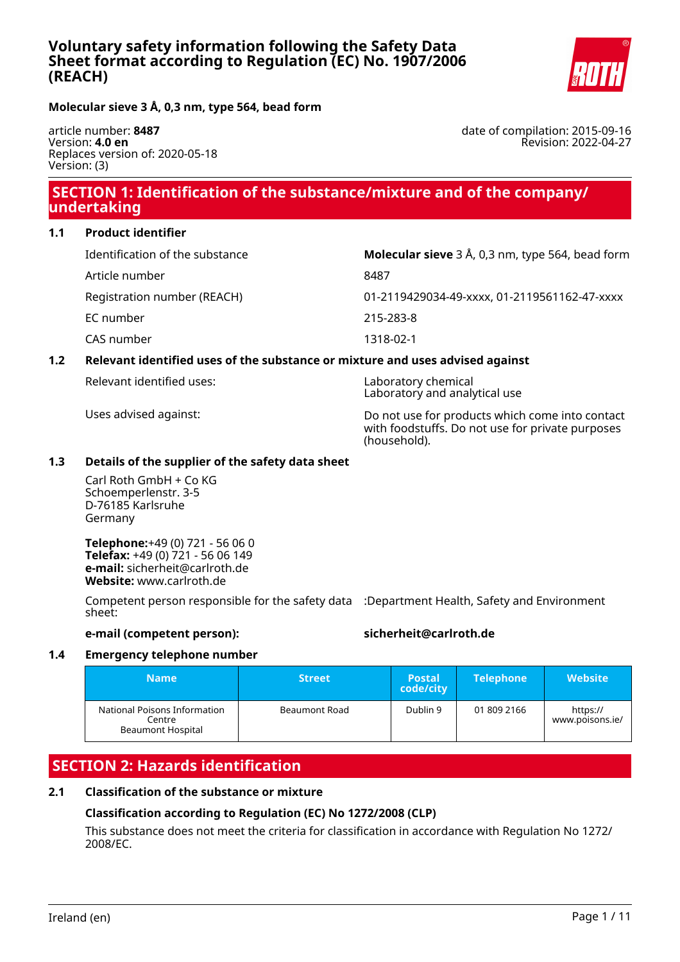

**Molecular sieve 3 Å, 0,3 nm, type 564, bead form**

article number: **8487** Version: **4.0 en** Replaces version of: 2020-05-18 Version: (3)

date of compilation: 2015-09-16 Revision: 2022-04-27

# **SECTION 1: Identification of the substance/mixture and of the company/ undertaking**

#### **1.1 Product identifier**

| Identification of the substance | <b>Molecular sieve</b> $3 \text{ Å}$ , 0,3 nm, type 564, bead form |
|---------------------------------|--------------------------------------------------------------------|
| Article number                  | 8487                                                               |
| Registration number (REACH)     | 01-2119429034-49-xxxx, 01-2119561162-47-xxxx                       |
| EC number                       | 215-283-8                                                          |
| CAS number                      | 1318-02-1                                                          |

#### **1.2 Relevant identified uses of the substance or mixture and uses advised against**

| Relevant identified uses: |  |  |
|---------------------------|--|--|
|---------------------------|--|--|

Laboratory chemical Laboratory and analytical use

Uses advised against: Do not use for products which come into contact with foodstuffs. Do not use for private purposes (household).

#### **1.3 Details of the supplier of the safety data sheet**

Carl Roth GmbH + Co KG Schoemperlenstr. 3-5 D-76185 Karlsruhe Germany

**Telephone:**+49 (0) 721 - 56 06 0 **Telefax:** +49 (0) 721 - 56 06 149 **e-mail:** sicherheit@carlroth.de **Website:** www.carlroth.de

Competent person responsible for the safety data :Department Health, Safety and Environment sheet:

#### **e-mail (competent person): sicherheit@carlroth.de**

#### **1.4 Emergency telephone number**

| Name                                                               | <b>Street</b> | <b>Postal</b><br>code/city | <b>Telephone</b> | <b>Website</b>              |
|--------------------------------------------------------------------|---------------|----------------------------|------------------|-----------------------------|
| National Poisons Information<br>Centre<br><b>Beaumont Hospital</b> | Beaumont Road | Dublin 9                   | 01 809 2166      | https://<br>www.poisons.ie/ |

# **SECTION 2: Hazards identification**

#### **2.1 Classification of the substance or mixture**

#### **Classification according to Regulation (EC) No 1272/2008 (CLP)**

This substance does not meet the criteria for classification in accordance with Regulation No 1272/ 2008/EC.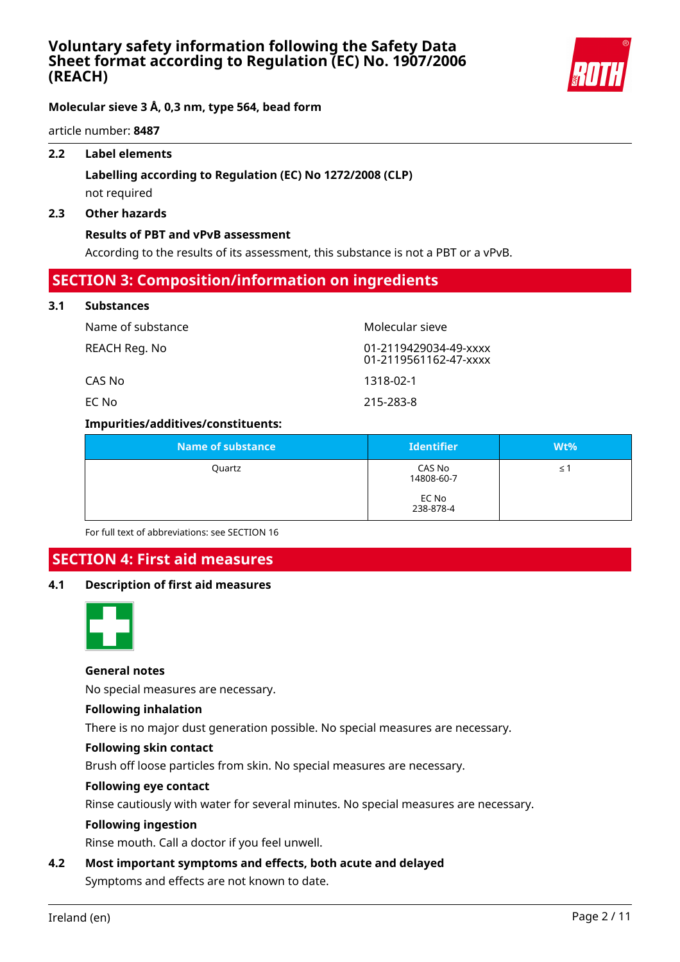

**Molecular sieve 3 Å, 0,3 nm, type 564, bead form**

article number: **8487**

#### **2.2 Label elements**

### **Labelling according to Regulation (EC) No 1272/2008 (CLP)** not required

#### **2.3 Other hazards**

#### **Results of PBT and vPvB assessment**

According to the results of its assessment, this substance is not a PBT or a vPvB.

### **SECTION 3: Composition/information on ingredients**

#### **3.1 Substances**

| Name of substance | Molecular sieve                                |
|-------------------|------------------------------------------------|
| REACH Reg. No     | 01-2119429034-49-xxxx<br>01-2119561162-47-xxxx |
| CAS No            | 1318-02-1                                      |
| EC No             | 215-283-8                                      |

#### **Impurities/additives/constituents:**

| <b>Name of substance</b> | <b>Identifier</b>    | Wt% |
|--------------------------|----------------------|-----|
| Quartz                   | CAS No<br>14808-60-7 | ≤1  |
|                          | EC No<br>238-878-4   |     |

For full text of abbreviations: see SECTION 16

### **SECTION 4: First aid measures**

### **4.1 Description of first aid measures**



#### **General notes**

No special measures are necessary.

#### **Following inhalation**

There is no major dust generation possible. No special measures are necessary.

#### **Following skin contact**

Brush off loose particles from skin. No special measures are necessary.

#### **Following eye contact**

Rinse cautiously with water for several minutes. No special measures are necessary.

#### **Following ingestion**

Rinse mouth. Call a doctor if you feel unwell.

## **4.2 Most important symptoms and effects, both acute and delayed**

Symptoms and effects are not known to date.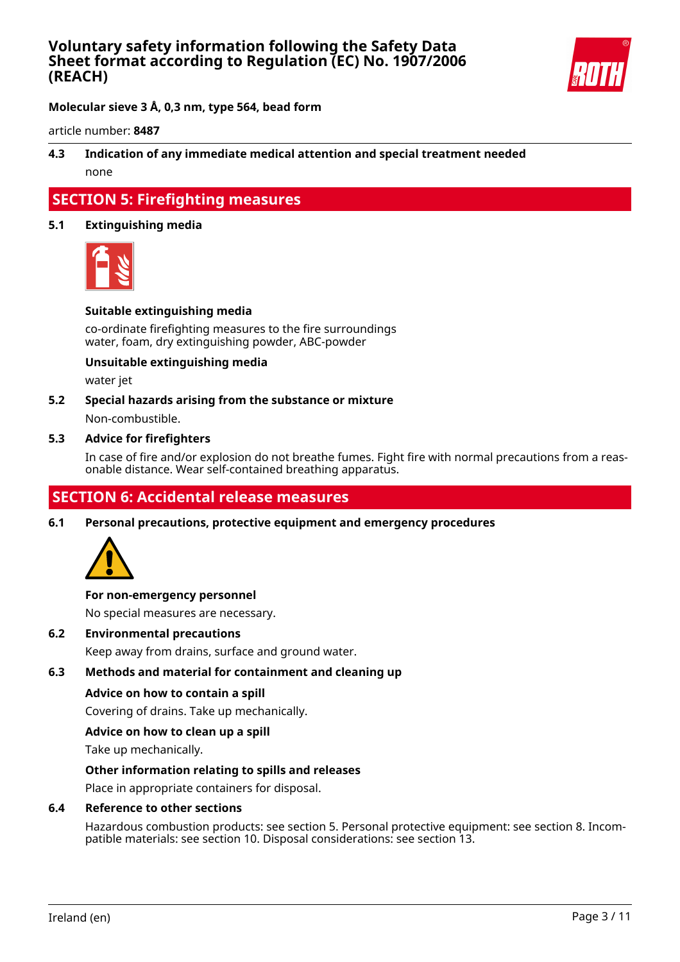

**Molecular sieve 3 Å, 0,3 nm, type 564, bead form**

article number: **8487**

### **4.3 Indication of any immediate medical attention and special treatment needed** none

### **SECTION 5: Firefighting measures**

#### **5.1 Extinguishing media**



#### **Suitable extinguishing media**

co-ordinate firefighting measures to the fire surroundings water, foam, dry extinguishing powder, ABC-powder

#### **Unsuitable extinguishing media**

water jet

### **5.2 Special hazards arising from the substance or mixture** Non-combustible.

#### **5.3 Advice for firefighters**

In case of fire and/or explosion do not breathe fumes. Fight fire with normal precautions from a reasonable distance. Wear self-contained breathing apparatus.

## **SECTION 6: Accidental release measures**

**6.1 Personal precautions, protective equipment and emergency procedures**



#### **For non-emergency personnel**

No special measures are necessary.

**6.2 Environmental precautions**

Keep away from drains, surface and ground water.

#### **6.3 Methods and material for containment and cleaning up**

#### **Advice on how to contain a spill**

Covering of drains. Take up mechanically.

#### **Advice on how to clean up a spill**

Take up mechanically.

#### **Other information relating to spills and releases**

Place in appropriate containers for disposal.

#### **6.4 Reference to other sections**

Hazardous combustion products: see section 5. Personal protective equipment: see section 8. Incompatible materials: see section 10. Disposal considerations: see section 13.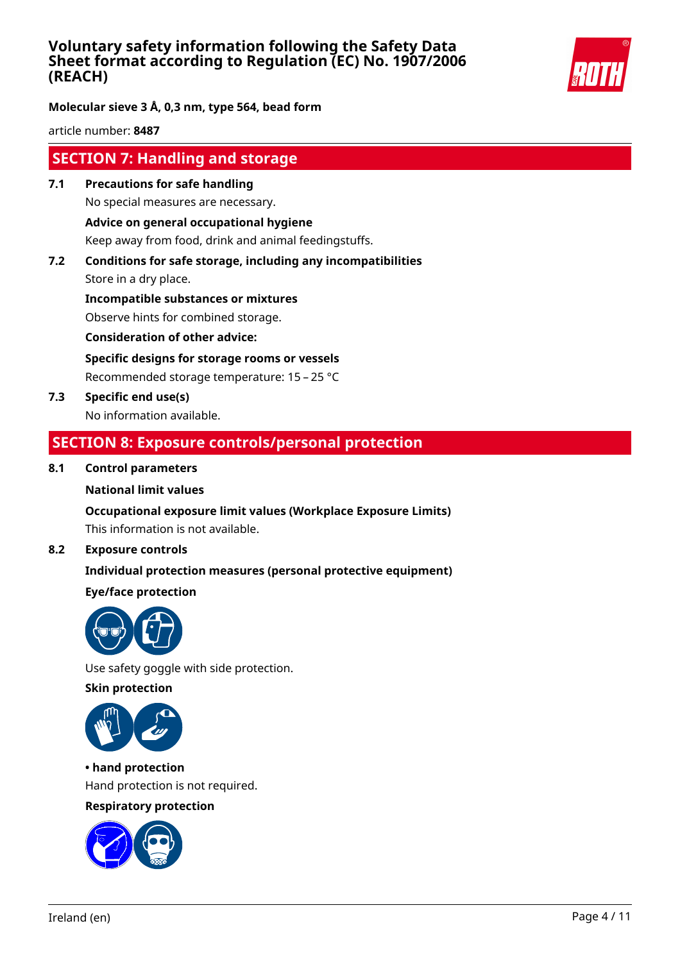

#### **Molecular sieve 3 Å, 0,3 nm, type 564, bead form**

article number: **8487**

### **SECTION 7: Handling and storage**

- **7.1 Precautions for safe handling** No special measures are necessary. **Advice on general occupational hygiene** Keep away from food, drink and animal feedingstuffs.
- **7.2 Conditions for safe storage, including any incompatibilities** Store in a dry place.

**Incompatible substances or mixtures** Observe hints for combined storage.

**Consideration of other advice:**

**Specific designs for storage rooms or vessels**

Recommended storage temperature: 15 – 25 °C

**7.3 Specific end use(s)** No information available.

### **SECTION 8: Exposure controls/personal protection**

#### **8.1 Control parameters**

#### **National limit values**

#### **Occupational exposure limit values (Workplace Exposure Limits)**

This information is not available.

#### **8.2 Exposure controls**

#### **Individual protection measures (personal protective equipment)**

#### **Eye/face protection**



Use safety goggle with side protection.

**Skin protection**



**• hand protection** Hand protection is not required.

### **Respiratory protection**

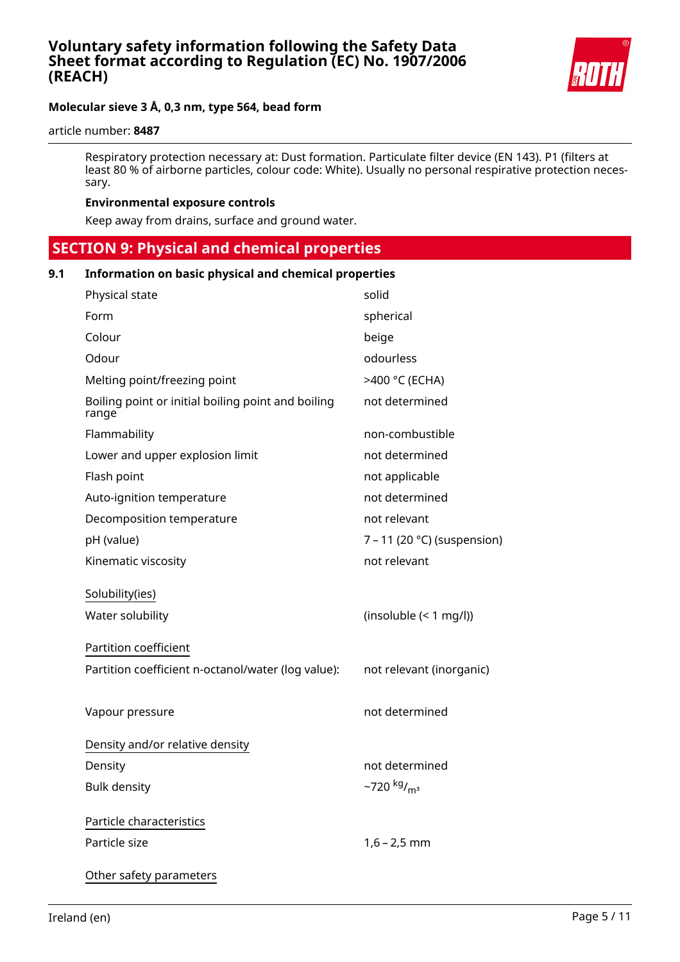

#### article number: **8487**

Respiratory protection necessary at: Dust formation. Particulate filter device (EN 143). P1 (filters at least 80 % of airborne particles, colour code: White). Usually no personal respirative protection necessary.

#### **Environmental exposure controls**

Keep away from drains, surface and ground water.

 **SECTION 9: Physical and chemical properties**

#### **9.1 Information on basic physical and chemical properties**

| Physical state                                              | solid                               |
|-------------------------------------------------------------|-------------------------------------|
| Form                                                        | spherical                           |
| Colour                                                      | beige                               |
| Odour                                                       | odourless                           |
| Melting point/freezing point                                | >400 °C (ECHA)                      |
| Boiling point or initial boiling point and boiling<br>range | not determined                      |
| Flammability                                                | non-combustible                     |
| Lower and upper explosion limit                             | not determined                      |
| Flash point                                                 | not applicable                      |
| Auto-ignition temperature                                   | not determined                      |
| Decomposition temperature                                   | not relevant                        |
| pH (value)                                                  | $7 - 11$ (20 °C) (suspension)       |
| Kinematic viscosity                                         | not relevant                        |
| Solubility(ies)<br>Water solubility                         | (insoluble (< 1 mg/l))              |
| Partition coefficient                                       |                                     |
| Partition coefficient n-octanol/water (log value):          | not relevant (inorganic)            |
|                                                             |                                     |
| Vapour pressure                                             | not determined                      |
| Density and/or relative density                             |                                     |
| Density                                                     | not determined                      |
| <b>Bulk density</b>                                         | $-720$ kg/ <sub>m<sup>3</sup></sub> |
| Particle characteristics                                    |                                     |
| Particle size                                               | $1,6 - 2,5$ mm                      |
| Other safety parameters                                     |                                     |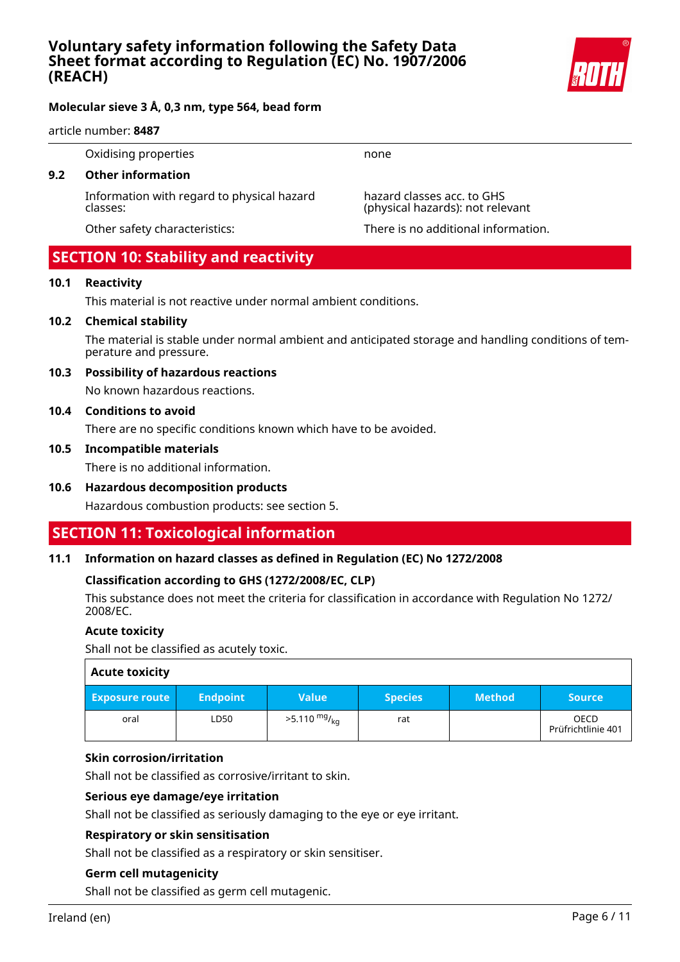

#### article number: **8487**

Oxidising properties none

#### **9.2 Other information**

Information with regard to physical hazard classes:

hazard classes acc. to GHS (physical hazards): not relevant

Other safety characteristics: There is no additional information.

### **SECTION 10: Stability and reactivity**

#### **10.1 Reactivity**

This material is not reactive under normal ambient conditions.

#### **10.2 Chemical stability**

The material is stable under normal ambient and anticipated storage and handling conditions of temperature and pressure.

#### **10.3 Possibility of hazardous reactions**

No known hazardous reactions.

#### **10.4 Conditions to avoid**

There are no specific conditions known which have to be avoided.

#### **10.5 Incompatible materials**

There is no additional information.

#### **10.6 Hazardous decomposition products**

Hazardous combustion products: see section 5.

# **SECTION 11: Toxicological information**

#### **11.1 Information on hazard classes as defined in Regulation (EC) No 1272/2008**

#### **Classification according to GHS (1272/2008/EC, CLP)**

This substance does not meet the criteria for classification in accordance with Regulation No 1272/ 2008/EC.

#### **Acute toxicity**

Shall not be classified as acutely toxic.

| <b>Acute toxicity</b> |                 |                        |                |               |                                   |
|-----------------------|-----------------|------------------------|----------------|---------------|-----------------------------------|
| <b>Exposure route</b> | <b>Endpoint</b> | <b>Value</b>           | <b>Species</b> | <b>Method</b> | <b>Source</b>                     |
| oral                  | LD50            | $>5.110 \frac{mg}{ka}$ | rat            |               | <b>OECD</b><br>Prüfrichtlinie 401 |

#### **Skin corrosion/irritation**

Shall not be classified as corrosive/irritant to skin.

#### **Serious eye damage/eye irritation**

Shall not be classified as seriously damaging to the eye or eye irritant.

#### **Respiratory or skin sensitisation**

Shall not be classified as a respiratory or skin sensitiser.

#### **Germ cell mutagenicity**

Shall not be classified as germ cell mutagenic.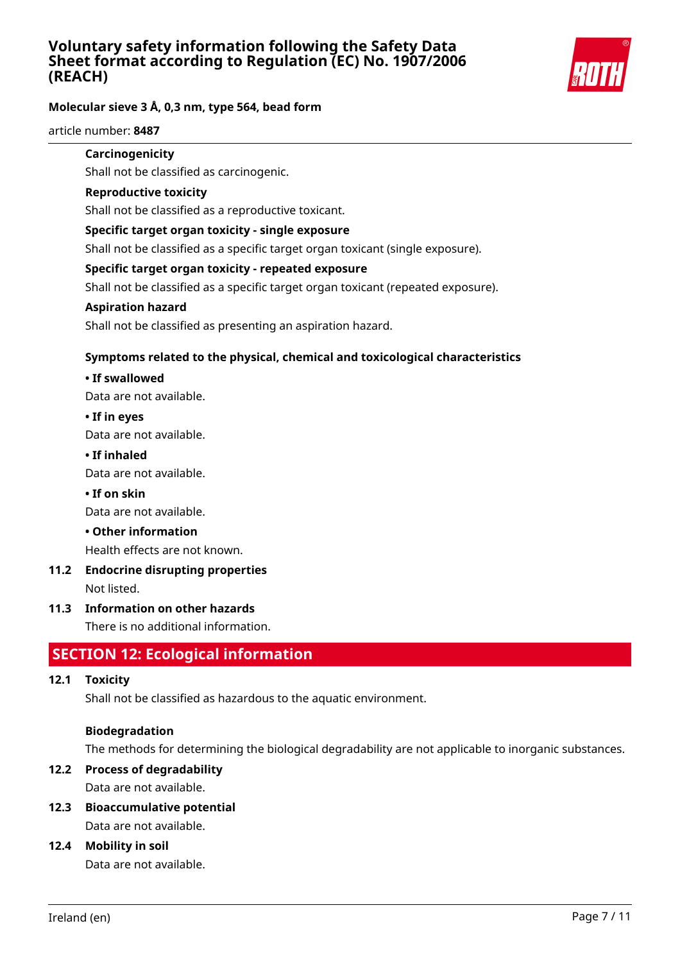

### **Molecular sieve 3 Å, 0,3 nm, type 564, bead form**

article number: **8487**

#### **Carcinogenicity**

Shall not be classified as carcinogenic.

#### **Reproductive toxicity**

Shall not be classified as a reproductive toxicant.

#### **Specific target organ toxicity - single exposure**

Shall not be classified as a specific target organ toxicant (single exposure).

#### **Specific target organ toxicity - repeated exposure**

Shall not be classified as a specific target organ toxicant (repeated exposure).

#### **Aspiration hazard**

Shall not be classified as presenting an aspiration hazard.

#### **Symptoms related to the physical, chemical and toxicological characteristics**

#### **• If swallowed**

Data are not available.

#### **• If in eyes**

Data are not available.

#### **• If inhaled**

Data are not available.

#### **• If on skin**

Data are not available.

#### **• Other information**

Health effects are not known.

# **11.2 Endocrine disrupting properties**

Not listed.

#### **11.3 Information on other hazards**

There is no additional information.

# **SECTION 12: Ecological information**

#### **12.1 Toxicity**

Shall not be classified as hazardous to the aquatic environment.

#### **Biodegradation**

The methods for determining the biological degradability are not applicable to inorganic substances.

### **12.2 Process of degradability**

Data are not available.

# **12.3 Bioaccumulative potential**

Data are not available.

#### **12.4 Mobility in soil**

Data are not available.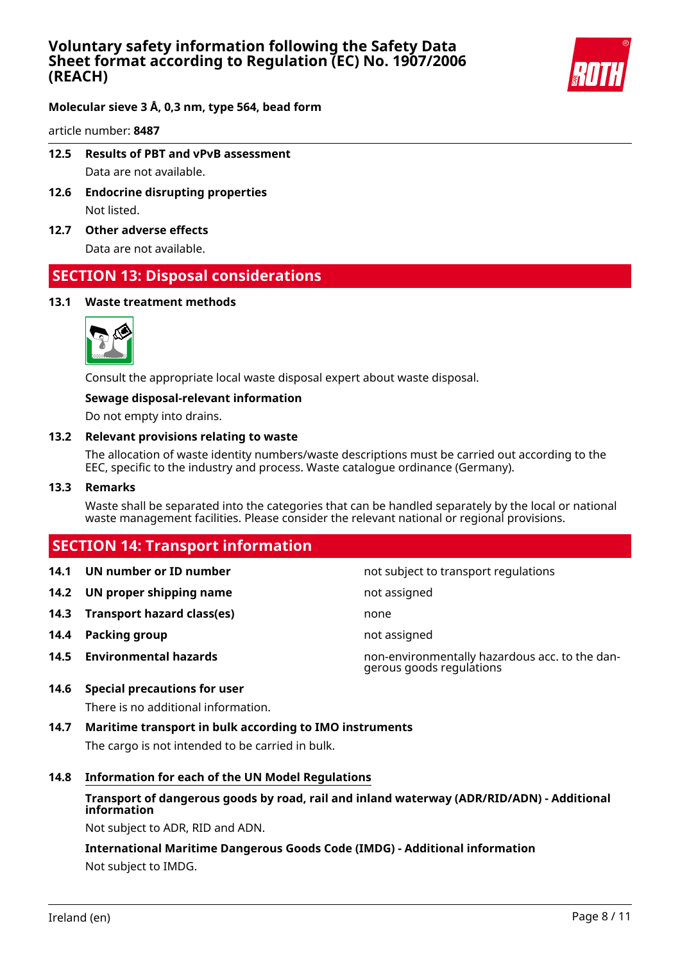

#### **Molecular sieve 3 Å, 0,3 nm, type 564, bead form**

article number: **8487**

- **12.5 Results of PBT and vPvB assessment** Data are not available.
- **12.6 Endocrine disrupting properties** Not listed.
- **12.7 Other adverse effects**

Data are not available.

### **SECTION 13: Disposal considerations**

#### **13.1 Waste treatment methods**



Consult the appropriate local waste disposal expert about waste disposal.

#### **Sewage disposal-relevant information**

Do not empty into drains.

#### **13.2 Relevant provisions relating to waste**

The allocation of waste identity numbers/waste descriptions must be carried out according to the EEC, specific to the industry and process. Waste catalogue ordinance (Germany).

#### **13.3 Remarks**

Waste shall be separated into the categories that can be handled separately by the local or national waste management facilities. Please consider the relevant national or regional provisions.

## **SECTION 14: Transport information**

- 
- **14.2 UN proper shipping name** not assigned
- **14.3 Transport hazard class(es)** none
- **14.4 Packing group not assigned**
- 

**14.1 UN number or ID number not subject to transport regulations** 

**14.5 Environmental hazards** non-environmentally hazardous acc. to the dangerous goods regulations

#### **14.6 Special precautions for user**

There is no additional information.

**14.7 Maritime transport in bulk according to IMO instruments**

The cargo is not intended to be carried in bulk.

#### **14.8 Information for each of the UN Model Regulations**

#### **Transport of dangerous goods by road, rail and inland waterway (ADR/RID/ADN) - Additional information**

Not subject to ADR, RID and ADN.

**International Maritime Dangerous Goods Code (IMDG) - Additional information** Not subject to IMDG.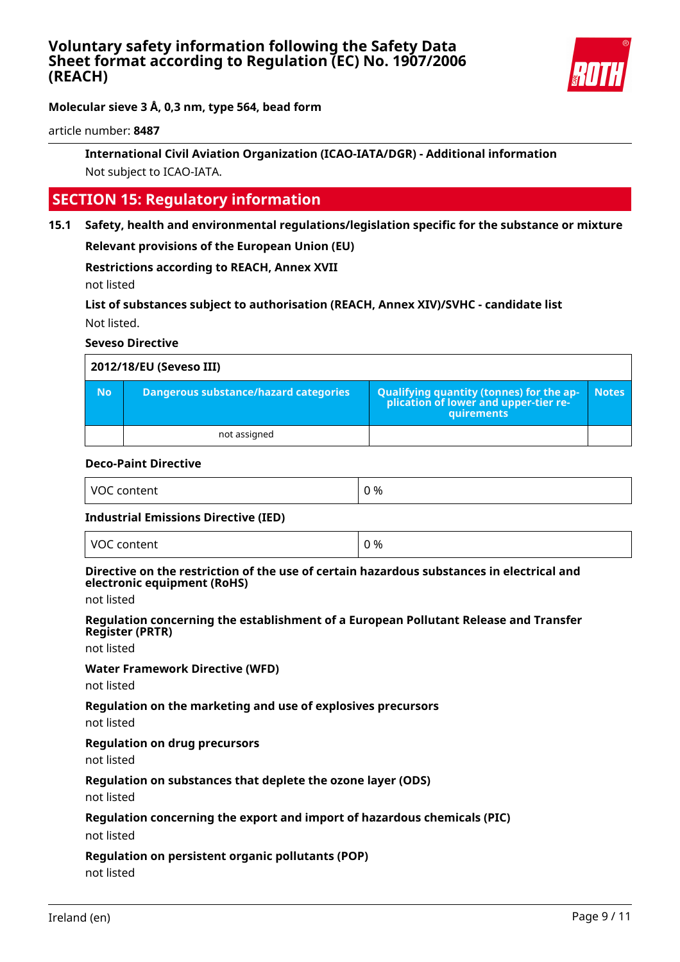

article number: **8487**

### **International Civil Aviation Organization (ICAO-IATA/DGR) - Additional information** Not subject to ICAO-IATA.

# **SECTION 15: Regulatory information**

**15.1 Safety, health and environmental regulations/legislation specific for the substance or mixture**

**Relevant provisions of the European Union (EU)**

**Restrictions according to REACH, Annex XVII**

not listed

**List of substances subject to authorisation (REACH, Annex XIV)/SVHC - candidate list** Not listed.

#### **Seveso Directive**

|           | 2012/18/EU (Seveso III)               |                                                                                                   |              |
|-----------|---------------------------------------|---------------------------------------------------------------------------------------------------|--------------|
| <b>No</b> | Dangerous substance/hazard categories | Qualifying quantity (tonnes) for the application of lower and upper-tier re-<br><b>quirements</b> | <b>Notes</b> |
|           | not assigned                          |                                                                                                   |              |

#### **Deco-Paint Directive**

| <b>VOC</b><br>. content | %<br>$\cdot$<br>$\sim$ |
|-------------------------|------------------------|
|                         |                        |

#### **Industrial Emissions Directive (IED)**

| VOC content<br>___ | 0 % |
|--------------------|-----|
|--------------------|-----|

#### **Directive on the restriction of the use of certain hazardous substances in electrical and electronic equipment (RoHS)**

not listed

#### **Regulation concerning the establishment of a European Pollutant Release and Transfer Register (PRTR)**

not listed

#### **Water Framework Directive (WFD)**

not listed

#### **Regulation on the marketing and use of explosives precursors**

not listed

#### **Regulation on drug precursors**

not listed

#### **Regulation on substances that deplete the ozone layer (ODS)**

not listed

#### **Regulation concerning the export and import of hazardous chemicals (PIC)**

not listed

#### **Regulation on persistent organic pollutants (POP)**

not listed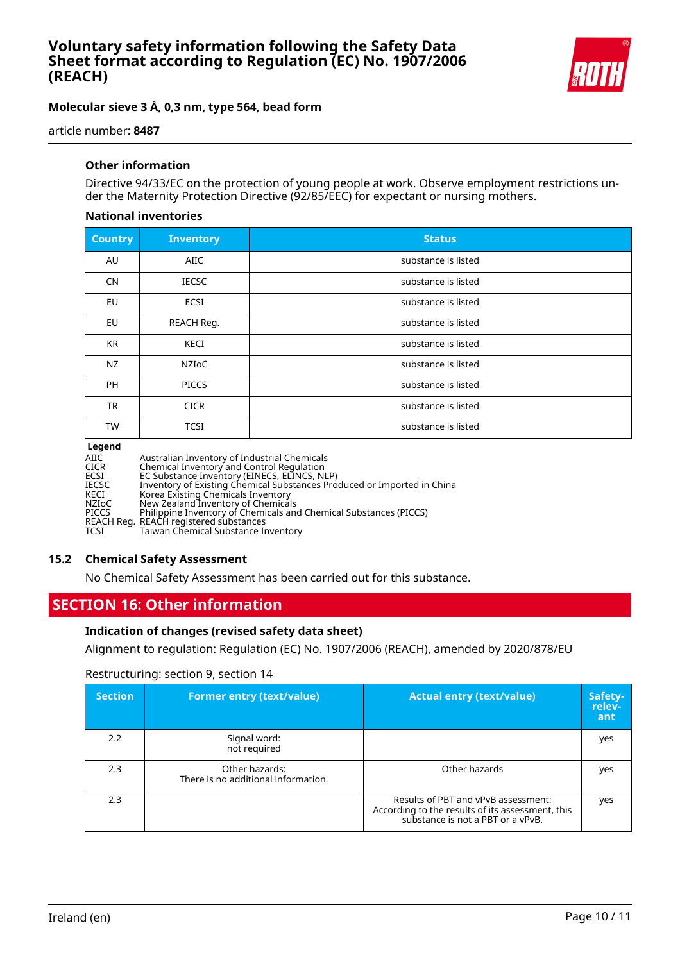

article number: **8487**

#### **Other information**

Directive 94/33/EC on the protection of young people at work. Observe employment restrictions under the Maternity Protection Directive (92/85/EEC) for expectant or nursing mothers.

#### **National inventories**

| <b>Country</b> | <b>Inventory</b> | <b>Status</b>       |
|----------------|------------------|---------------------|
| AU             | AIIC             | substance is listed |
| <b>CN</b>      | <b>IECSC</b>     | substance is listed |
| <b>EU</b>      | <b>ECSI</b>      | substance is listed |
| EU             | REACH Reg.       | substance is listed |
| <b>KR</b>      | KECI             | substance is listed |
| NZ             | <b>NZIOC</b>     | substance is listed |
| <b>PH</b>      | <b>PICCS</b>     | substance is listed |
| <b>TR</b>      | <b>CICR</b>      | substance is listed |
| <b>TW</b>      | <b>TCSI</b>      | substance is listed |

#### **Legend**

| AIIC<br><b>CICR</b> | Australian Inventory of Industrial Chemicals<br>Chemical Inventory and Control Regulation |
|---------------------|-------------------------------------------------------------------------------------------|
| ECSI                | EC Substance Inventory (EINECS, ELINCS, NLP)                                              |
| <b>IECSC</b>        | Inventory of Existing Chemical Substances Produced or Imported in China                   |
| KECI                | Korea Existing Chemicals Inventory                                                        |
| NZIoC               | New Zealand Inventory of Chemicals                                                        |
| <b>PICCS</b>        | Philippine Inventory of Chemicals and Chemical Substances (PICCS)                         |
|                     | REACH Reg. REACH registered substances                                                    |
| TCSI                | Taiwan Chemical Substance Inventory                                                       |

#### **15.2 Chemical Safety Assessment**

No Chemical Safety Assessment has been carried out for this substance.

## **SECTION 16: Other information**

#### **Indication of changes (revised safety data sheet)**

Alignment to regulation: Regulation (EC) No. 1907/2006 (REACH), amended by 2020/878/EU

#### Restructuring: section 9, section 14

| <b>Section</b> | <b>Former entry (text/value)</b>                      | <b>Actual entry (text/value)</b>                                                                                             | Safety-<br>relev-<br>ant |
|----------------|-------------------------------------------------------|------------------------------------------------------------------------------------------------------------------------------|--------------------------|
| 2.2            | Signal word:<br>not required                          |                                                                                                                              | yes                      |
| 2.3            | Other hazards:<br>There is no additional information. | Other hazards                                                                                                                | yes                      |
| 2.3            |                                                       | Results of PBT and vPvB assessment:<br>According to the results of its assessment, this<br>substance is not a PBT or a vPvB. | yes                      |